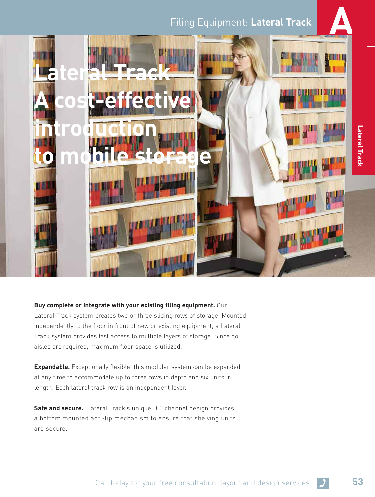# **Filing Equipment: Lateral Track**



## **Buy complete or integrate with your existing filing equipment.** Our

Lateral Track system creates two or three sliding rows of storage. Mounted independently to the floor in front of new or existing equipment, a Lateral Track system provides fast access to multiple layers of storage. Since no aisles are required, maximum floor space is utilized.

**Expandable.** Exceptionally flexible, this modular system can be expanded at any time to accommodate up to three rows in depth and six units in length. Each lateral track row is an independent layer.

**Safe and secure.** Lateral Track's unique "C" channel design provides a bottom mounted anti-tip mechanism to ensure that shelving units are secure.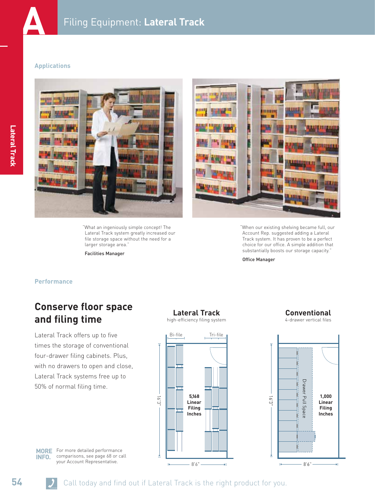

#### **Applications**



"What an ingeniously simple concept! The Lateral Track system greatly increased our file storage space without the need for a larger storage area."

Facilities Manager



"When our existing shelving became full, our Account Rep. suggested adding a Lateral Track system. It has proven to be a perfect choice for our office. A simple addition that substantially boosts our storage capacity."

Office Manager

### **Performance**

# **Conserve floor space and filing time**

Lateral Track offers up to five times the storage of conventional four-drawer filing cabinets. Plus, with no drawers to open and close, Lateral Track systems free up to 50% of normal filing time.

# **Lateral Track**

high-efficiency filing system



**Conventional** 4-drawer vertical files



**MORE** For more detailed performance comparisons, see page 68 or call **INFO.**

your Account Representative.

**54** Call today and find out if Lateral Track is the right product for you.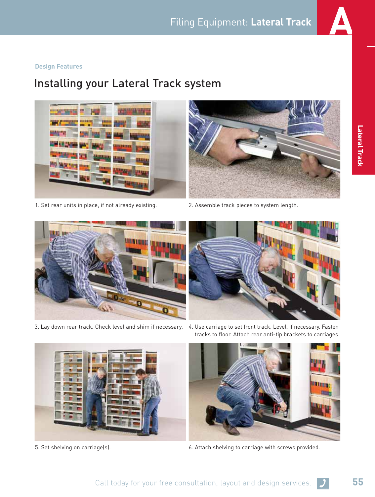

#### **Design Features**

# Installing your Lateral Track system





- 
- 



- 
- 3. Lay down rear track. Check level and shim if necessary. 4. Use carriage to set front track. Level, if necessary. Fasten tracks to floor. Attach rear anti-tip brackets to carriages.





5. Set shelving on carriage(s). 6. Attach shelving to carriage with screws provided.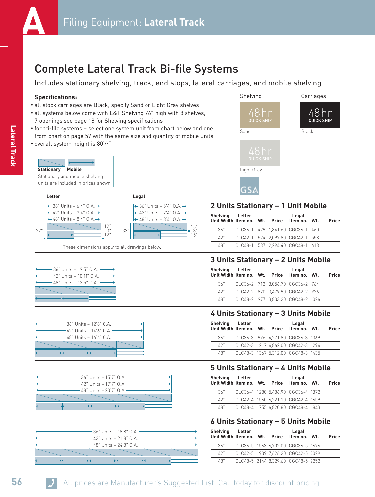

# Complete Lateral Track Bi-file Systems

Includes stationary shelving, track, end stops, lateral carriages, and mobile shelving

#### **Specifications:**

- all stock carriages are Black; specify Sand or Light Gray shelves
- all systems below come with L&T Shelving 76" high with 8 shelves, 7 openings see page 18 for Shelving specifications
- for tri-file systems select one system unit from chart below and one from chart on page 57 with the same size and quantity of mobile units
- overall system height is 80<sup>1</sup>/4"





These dimensions apply to all drawings below.











# **2 Units Stationary – 1 Unit Mobile**

| Shelving Letter<br>Unit Width Item no. Wt. Price Item no. Wt. |  | Legal                            | Price |
|---------------------------------------------------------------|--|----------------------------------|-------|
| 36"                                                           |  | CLC36-1 429 1.841.60 CGC36-1 460 |       |
| 42"                                                           |  | CLC42-1 524 2,097.80 CGC42-1 558 |       |
| 48"                                                           |  | CLC48-1 587 2,294.40 CGC48-1 618 |       |

## **3 Units Stationary – 2 Units Mobile**

| Shelving Letter<br>Unit Width Item no. Wt. |  | Price | Legal<br>Item no. Wt.             | Price |
|--------------------------------------------|--|-------|-----------------------------------|-------|
| 36"                                        |  |       | CLC36-2 713 3,056.70 CGC36-2 764  |       |
| 42"                                        |  |       | CLC42-2 870 3.479.90 CGC42-2 926  |       |
| 48"                                        |  |       | CLC48-2 977 3.803.20 CGC48-2 1026 |       |

### **4 Units Stationary – 3 Units Mobile**

| Shelving<br>Unit Width Item no. Wt. Price | Letter |  | Legal<br>Item no. Wt.              | Price |
|-------------------------------------------|--------|--|------------------------------------|-------|
| 36"                                       |        |  | CLC36-3 996 4.271.80 CGC36-3 1069  |       |
| 42"                                       |        |  | CLC42-3 1217 4.862.00 CGC42-3 1294 |       |
| 48"                                       |        |  | CLC48-3 1367 5.312.00 CGC48-3 1435 |       |

### **5 Units Stationary – 4 Units Mobile**

| Shelving Letter<br>Unit Width Item no. Wt. Price |  | Legal<br>Item no. Wt.              | Price |
|--------------------------------------------------|--|------------------------------------|-------|
| 36"                                              |  | CLC36-4 1280 5.486.90 CGC36-4 1372 |       |
| 42"                                              |  | CLC42-4 1560 6.221.10 CGC42-4 1659 |       |
| 48"                                              |  | CLC48-4 1755 6.820.80 CGC48-4 1843 |       |

## **6 Units Stationary – 5 Units Mobile**

| Shelving Letter<br>Unit Width Item no. Wt. Price Item no. Wt. |  | Legal                              | Price |
|---------------------------------------------------------------|--|------------------------------------|-------|
| 36"                                                           |  | CLC36-5 1563 6.702.00 CGC36-5 1676 |       |
| 42"                                                           |  | CLC42-5 1909 7.626.20 CGC42-5 2029 |       |
| 48"                                                           |  | CLC48-5 2144 8.329.60 CGC48-5 2252 |       |